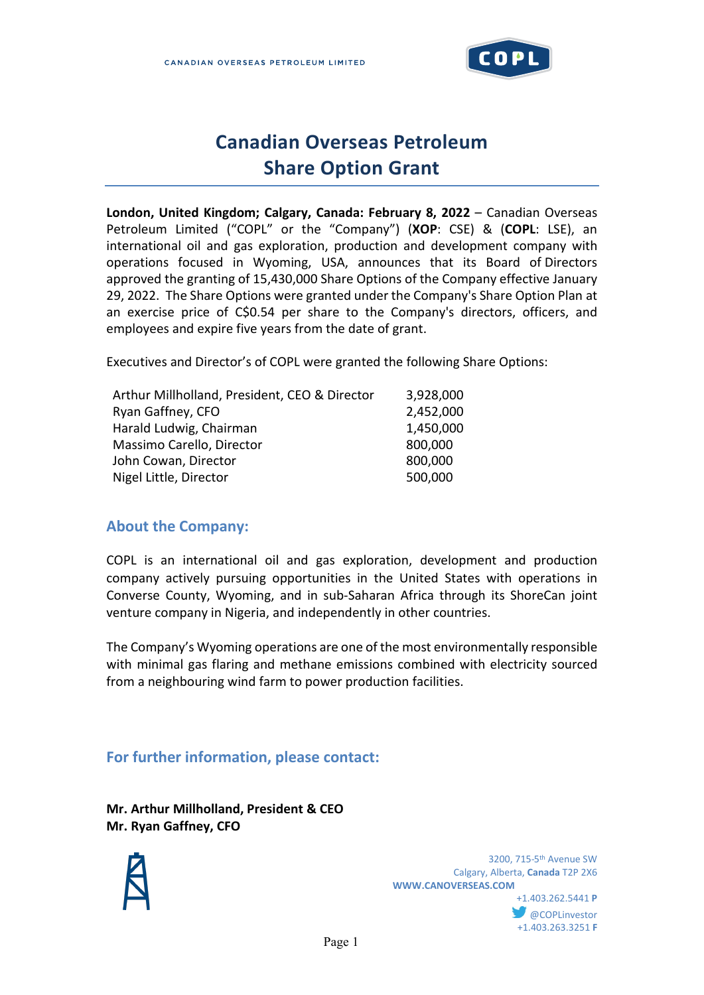

# **Canadian Overseas Petroleum Share Option Grant**

**London, United Kingdom; Calgary, Canada: February 8, 2022** – Canadian Overseas Petroleum Limited ("COPL" or the "Company") (**XOP**: CSE) & (**COPL**: LSE), an international oil and gas exploration, production and development company with operations focused in Wyoming, USA, announces that its Board of Directors approved the granting of 15,430,000 Share Options of the Company effective January 29, 2022. The Share Options were granted under the Company's Share Option Plan at an exercise price of C\$0.54 per share to the Company's directors, officers, and employees and expire five years from the date of grant.

Executives and Director's of COPL were granted the following Share Options:

| Arthur Millholland, President, CEO & Director | 3,928,000 |
|-----------------------------------------------|-----------|
| Ryan Gaffney, CFO                             | 2,452,000 |
| Harald Ludwig, Chairman                       | 1,450,000 |
| Massimo Carello, Director                     | 800,000   |
| John Cowan, Director                          | 800,000   |
| Nigel Little, Director                        | 500,000   |

## **About the Company:**

COPL is an international oil and gas exploration, development and production company actively pursuing opportunities in the United States with operations in Converse County, Wyoming, and in sub-Saharan Africa through its ShoreCan joint venture company in Nigeria, and independently in other countries.

The Company's Wyoming operations are one of the most environmentally responsible with minimal gas flaring and methane emissions combined with electricity sourced from a neighbouring wind farm to power production facilities.

# **For further information, please contact:**

**Mr. Arthur Millholland, President & CEO Mr. Ryan Gaffney, CFO**



 3200, 715-5th Avenue SW Calgary, Alberta, **Canada** T2P 2X6 **WWW.CANOVERSEAS.COM** +1.403.262.5441 **P @COPLinvestor** +1.403.263.3251 **F**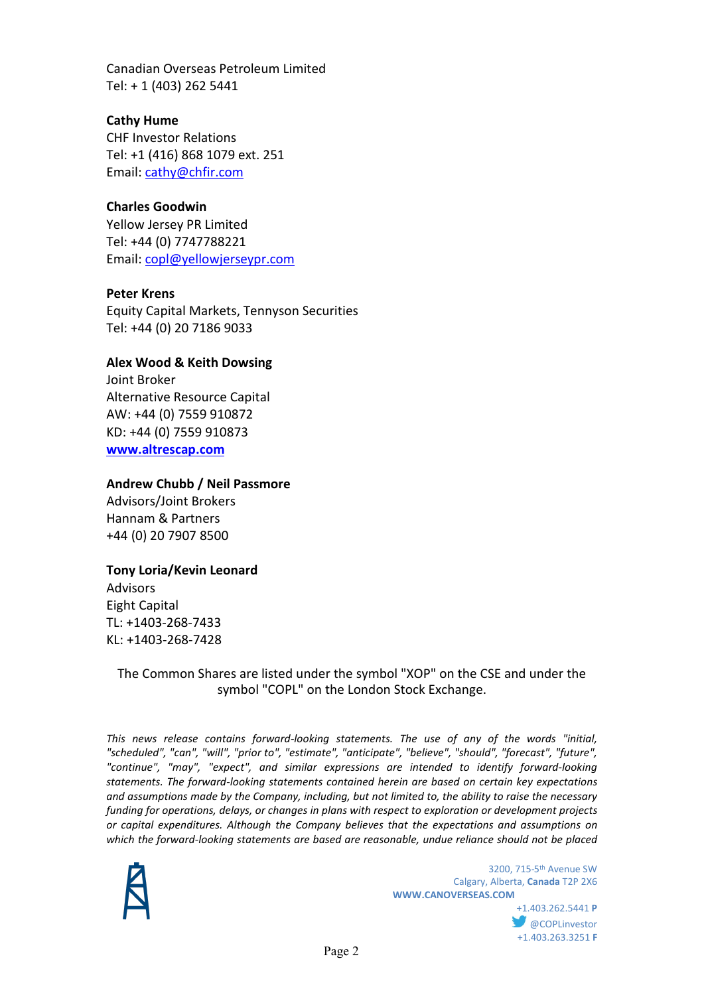Canadian Overseas Petroleum Limited Tel: + 1 (403) 262 5441

## **Cathy Hume**

CHF Investor Relations Tel: +1 (416) 868 1079 ext. 251 Email: [cathy@chfir.com](mailto:cathy@chfir.com)

#### **Charles Goodwin**

Yellow Jersey PR Limited Tel: +44 (0) 7747788221 Email: [copl@yellowjerseypr.com](mailto:copl@yellowjerseypr.com)

#### **Peter Krens**

Equity Capital Markets, Tennyson Securities Tel: +44 (0) 20 7186 9033

#### **Alex Wood & Keith Dowsing**

Joint Broker Alternative Resource Capital AW: +44 (0) 7559 910872 KD: +44 (0) 7559 910873 **[www.altrescap.com](https://us-west-2.protection.sophos.com/?d=altrescap.com&u=aHR0cDovL3d3dy5hbHRyZXNjYXAuY29tLw==&i=NjE3MTkwZjFlOWZkN2MxMDRiMmJjZDlk&t=dUdUb2l6NmlZbVdyQnJiRHRkRGRIN0NJbDh3Ym04ODZiU3hkRVdjU0RaZz0=&h=00028df708b54f3cb998e141d5e49985)**

#### **Andrew Chubb / Neil Passmore**

Advisors/Joint Brokers Hannam & Partners +44 (0) 20 7907 8500

#### **Tony Loria/Kevin Leonard**

Advisors Eight Capital TL: +1403-268-7433 KL: +1403-268-7428

The Common Shares are listed under the symbol "XOP" on the CSE and under the symbol "COPL" on the London Stock Exchange.

*This news release contains forward-looking statements. The use of any of the words "initial, "scheduled", "can", "will", "prior to", "estimate", "anticipate", "believe", "should", "forecast", "future", "continue", "may", "expect", and similar expressions are intended to identify forward-looking statements. The forward-looking statements contained herein are based on certain key expectations and assumptions made by the Company, including, but not limited to, the ability to raise the necessary funding for operations, delays, or changes in plans with respect to exploration or development projects or capital expenditures. Although the Company believes that the expectations and assumptions on which the forward-looking statements are based are reasonable, undue reliance should not be placed* 



 3200, 715-5th Avenue SW Calgary, Alberta, **Canada** T2P 2X6 **WWW.CANOVERSEAS.COM**

> +1.403.262.5441 **P @COPLinvestor** +1.403.263.3251 **F**